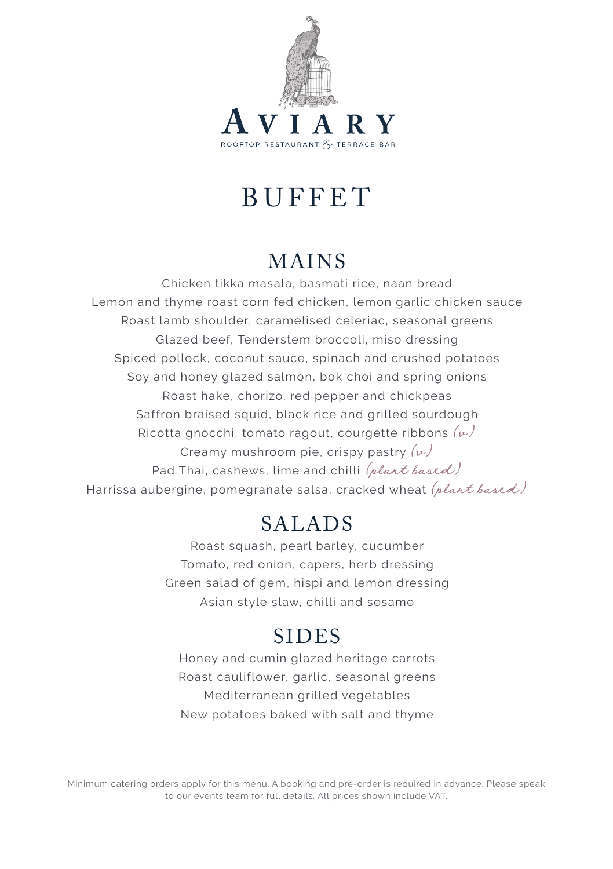

# **BUFFET**

#### MAINS

Chicken tikka masala, basmati rice, naan bread Lemon and thyme roast corn fed chicken, lemon garlic chicken sauce Roast lamb shoulder, caramelised celeriac, seasonal greens Glazed beef, Tenderstem broccoli, miso dressing Spiced pollock, coconut sauce, spinach and crushed potatoes Soy and honey glazed salmon, bok choi and spring onions Roast hake, chorizo. red pepper and chickpeas Saffron braised squid, black rice and grilled sourdough Ricotta gnocchi, tomato ragout, courgette ribbons  $(\psi)$ Creamy mushroom pie, crispy pastry  $(\omega)$ Pad Thai, cashews, lime and chilli (plant based) Harrissa aubergine, pomegranate salsa, cracked wheat (plant based)

#### SALADS

Roast squash, pearl barley, cucumber Tomato, red onion, capers, herb dressing Green salad of gem, hispi and lemon dressing Asian style slaw, chilli and sesame

### SIDES

Honey and cumin glazed heritage carrots Roast cauliflower, garlic, seasonal greens Mediterranean grilled vegetables New potatoes baked with salt and thyme

Minimum catering orders apply for this menu. A booking and pre-order is required in advance. Please speak to our events team for full details. All prices shown include VAT.